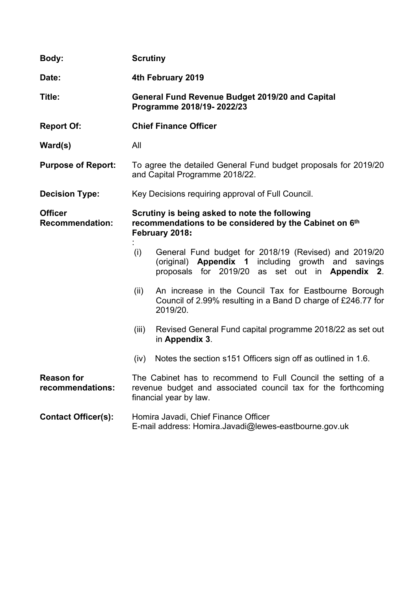| Body:                                    | <b>Scrutiny</b>                                                                                                           |                                                                                                                                                                             |  |
|------------------------------------------|---------------------------------------------------------------------------------------------------------------------------|-----------------------------------------------------------------------------------------------------------------------------------------------------------------------------|--|
| Date:                                    | 4th February 2019                                                                                                         |                                                                                                                                                                             |  |
| Title:                                   | <b>General Fund Revenue Budget 2019/20 and Capital</b><br>Programme 2018/19-2022/23                                       |                                                                                                                                                                             |  |
| <b>Report Of:</b>                        |                                                                                                                           | <b>Chief Finance Officer</b>                                                                                                                                                |  |
| Ward(s)                                  | All                                                                                                                       |                                                                                                                                                                             |  |
| <b>Purpose of Report:</b>                | To agree the detailed General Fund budget proposals for 2019/20<br>and Capital Programme 2018/22.                         |                                                                                                                                                                             |  |
| <b>Decision Type:</b>                    | Key Decisions requiring approval of Full Council.                                                                         |                                                                                                                                                                             |  |
| <b>Officer</b><br><b>Recommendation:</b> | Scrutiny is being asked to note the following<br>recommendations to be considered by the Cabinet on 6th<br>February 2018: |                                                                                                                                                                             |  |
|                                          | (i)                                                                                                                       | General Fund budget for 2018/19 (Revised) and 2019/20<br>(original) <b>Appendix 1</b> including growth<br>and<br>savings<br>proposals for 2019/20 as set out in Appendix 2. |  |
|                                          | (ii)                                                                                                                      | An increase in the Council Tax for Eastbourne Borough<br>Council of 2.99% resulting in a Band D charge of £246.77 for<br>2019/20.                                           |  |
|                                          | (iii)                                                                                                                     | Revised General Fund capital programme 2018/22 as set out<br>in Appendix 3.                                                                                                 |  |
|                                          | (iv)                                                                                                                      | Notes the section s151 Officers sign off as outlined in 1.6.                                                                                                                |  |
| <b>Reason for</b><br>recommendations:    |                                                                                                                           | The Cabinet has to recommend to Full Council the setting of a<br>revenue budget and associated council tax for the forthcoming<br>financial year by law.                    |  |
| <b>Contact Officer(s):</b>               |                                                                                                                           | Homira Javadi, Chief Finance Officer<br>E-mail address: Homira.Javadi@lewes-eastbourne.gov.uk                                                                               |  |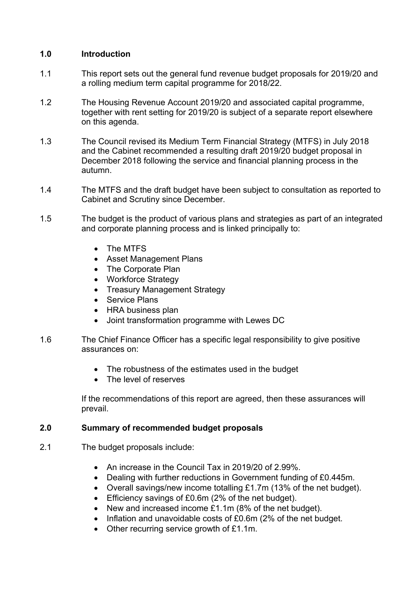# **1.0 Introduction**

- 1.1 This report sets out the general fund revenue budget proposals for 2019/20 and a rolling medium term capital programme for 2018/22.
- 1.2 The Housing Revenue Account 2019/20 and associated capital programme, together with rent setting for 2019/20 is subject of a separate report elsewhere on this agenda.
- 1.3 The Council revised its Medium Term Financial Strategy (MTFS) in July 2018 and the Cabinet recommended a resulting draft 2019/20 budget proposal in December 2018 following the service and financial planning process in the autumn.
- 1.4 The MTFS and the draft budget have been subject to consultation as reported to Cabinet and Scrutiny since December.
- 1.5 The budget is the product of various plans and strategies as part of an integrated and corporate planning process and is linked principally to:
	- The MTFS
	- Asset Management Plans
	- The Corporate Plan
	- Workforce Strategy
	- Treasury Management Strategy
	- Service Plans
	- HRA business plan
	- Joint transformation programme with Lewes DC
- 1.6 The Chief Finance Officer has a specific legal responsibility to give positive assurances on:
	- The robustness of the estimates used in the budget
	- The level of reserves

If the recommendations of this report are agreed, then these assurances will prevail.

# **2.0 Summary of recommended budget proposals**

- 2.1 The budget proposals include:
	- An increase in the Council Tax in 2019/20 of 2.99%.
	- Dealing with further reductions in Government funding of £0.445m.
	- Overall savings/new income totalling £1.7m (13% of the net budget).
	- Efficiency savings of £0.6m (2% of the net budget).
	- New and increased income £1.1m (8% of the net budget).
	- Inflation and unavoidable costs of £0.6m (2% of the net budget.
	- Other recurring service growth of £1.1m.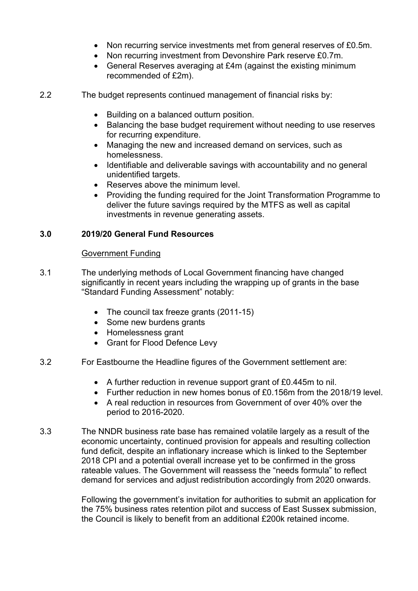- Non recurring service investments met from general reserves of £0.5m.
- Non recurring investment from Devonshire Park reserve £0.7m.
- General Reserves averaging at £4m (against the existing minimum recommended of £2m).

2.2 The budget represents continued management of financial risks by:

- Building on a balanced outturn position.
- Balancing the base budget requirement without needing to use reserves for recurring expenditure.
- Managing the new and increased demand on services, such as homelessness.
- Identifiable and deliverable savings with accountability and no general unidentified targets.
- Reserves above the minimum level.
- Providing the funding required for the Joint Transformation Programme to deliver the future savings required by the MTFS as well as capital investments in revenue generating assets.

# **3.0 2019/20 General Fund Resources**

## Government Funding

- 3.1 The underlying methods of Local Government financing have changed significantly in recent years including the wrapping up of grants in the base "Standard Funding Assessment" notably:
	- The council tax freeze grants (2011-15)
	- Some new burdens grants
	- Homelessness grant
	- Grant for Flood Defence Levy
- 3.2 For Eastbourne the Headline figures of the Government settlement are:
	- A further reduction in revenue support grant of £0.445m to nil.
	- Further reduction in new homes bonus of  $f_0$  156m from the 2018/19 level.
	- A real reduction in resources from Government of over 40% over the period to 2016-2020.
- 3.3 The NNDR business rate base has remained volatile largely as a result of the economic uncertainty, continued provision for appeals and resulting collection fund deficit, despite an inflationary increase which is linked to the September 2018 CPI and a potential overall increase yet to be confirmed in the gross rateable values. The Government will reassess the "needs formula" to reflect demand for services and adjust redistribution accordingly from 2020 onwards.

Following the government's invitation for authorities to submit an application for the 75% business rates retention pilot and success of East Sussex submission, the Council is likely to benefit from an additional £200k retained income.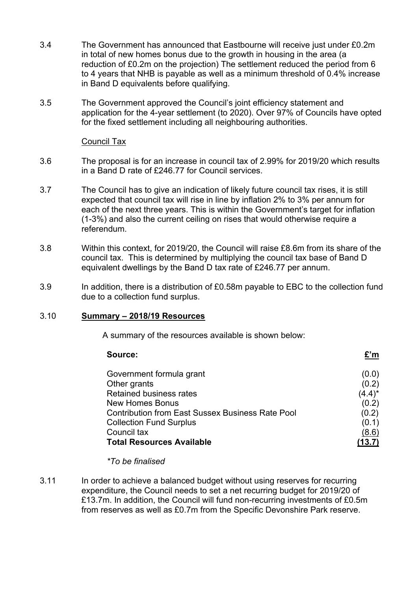- 3.4 The Government has announced that Eastbourne will receive just under £0.2m in total of new homes bonus due to the growth in housing in the area (a reduction of £0.2m on the projection) The settlement reduced the period from 6 to 4 years that NHB is payable as well as a minimum threshold of 0.4% increase in Band D equivalents before qualifying.
- 3.5 The Government approved the Council's joint efficiency statement and application for the 4-year settlement (to 2020). Over 97% of Councils have opted for the fixed settlement including all neighbouring authorities.

### Council Tax

- 3.6 The proposal is for an increase in council tax of 2.99% for 2019/20 which results in a Band D rate of £246.77 for Council services.
- 3.7 The Council has to give an indication of likely future council tax rises, it is still expected that council tax will rise in line by inflation 2% to 3% per annum for each of the next three years. This is within the Government's target for inflation (1-3%) and also the current ceiling on rises that would otherwise require a referendum.
- 3.8 Within this context, for 2019/20, the Council will raise £8.6m from its share of the council tax. This is determined by multiplying the council tax base of Band D equivalent dwellings by the Band D tax rate of £246.77 per annum.
- 3.9 In addition, there is a distribution of £0.58m payable to EBC to the collection fund due to a collection fund surplus.

### 3.10 **Summary – 2018/19 Resources**

A summary of the resources available is shown below:

| Source:                                                 |           |
|---------------------------------------------------------|-----------|
| Government formula grant                                | (0.0)     |
| Other grants                                            | (0.2)     |
| Retained business rates                                 | $(4.4)^*$ |
| <b>New Homes Bonus</b>                                  | (0.2)     |
| <b>Contribution from East Sussex Business Rate Pool</b> | (0.2)     |
| <b>Collection Fund Surplus</b>                          | (0.1)     |
| Council tax                                             | (8.6)     |
| <b>Total Resources Available</b>                        |           |

*\*To be finalised*

3.11 In order to achieve a balanced budget without using reserves for recurring expenditure, the Council needs to set a net recurring budget for 2019/20 of £13.7m. In addition, the Council will fund non-recurring investments of £0.5m from reserves as well as £0.7m from the Specific Devonshire Park reserve.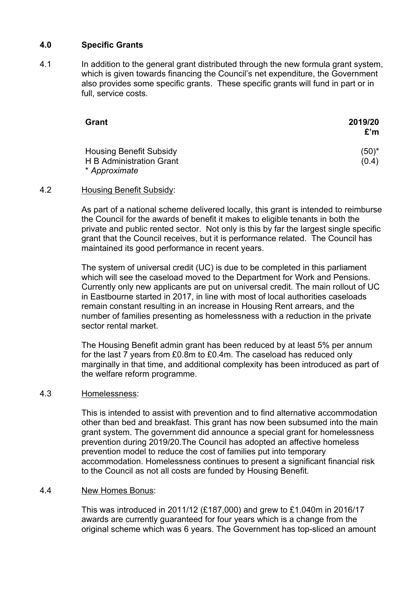# **4.0 Specific Grants**

4.1 In addition to the general grant distributed through the new formula grant system, which is given towards financing the Council's net expenditure, the Government also provides some specific grants. These specific grants will fund in part or in full, service costs.

| Grant                                                                       | 2019/20<br>£'m    |
|-----------------------------------------------------------------------------|-------------------|
| <b>Housing Benefit Subsidy</b><br>H B Administration Grant<br>* Approximate | $(50)^*$<br>(0.4) |

### 4.2 Housing Benefit Subsidy:

As part of a national scheme delivered locally, this grant is intended to reimburse the Council for the awards of benefit it makes to eligible tenants in both the private and public rented sector. Not only is this by far the largest single specific grant that the Council receives, but it is performance related. The Council has maintained its good performance in recent years.

The system of universal credit (UC) is due to be completed in this parliament which will see the caseload moved to the Department for Work and Pensions. Currently only new applicants are put on universal credit. The main rollout of UC in Eastbourne started in 2017, in line with most of local authorities caseloads remain constant resulting in an increase in Housing Rent arrears, and the number of families presenting as homelessness with a reduction in the private sector rental market.

The Housing Benefit admin grant has been reduced by at least 5% per annum for the last 7 years from £0.8m to £0.4m. The caseload has reduced only marginally in that time, and additional complexity has been introduced as part of the welfare reform programme.

### 4.3 Homelessness:

This is intended to assist with prevention and to find alternative accommodation other than bed and breakfast. This grant has now been subsumed into the main grant system. The government did announce a special grant for homelessness prevention during 2019/20.The Council has adopted an affective homeless prevention model to reduce the cost of families put into temporary accommodation. Homelessness continues to present a significant financial risk to the Council as not all costs are funded by Housing Benefit.

#### 4.4 New Homes Bonus:

This was introduced in 2011/12 (£187,000) and grew to £1.040m in 2016/17 awards are currently guaranteed for four years which is a change from the original scheme which was 6 years. The Government has top-sliced an amount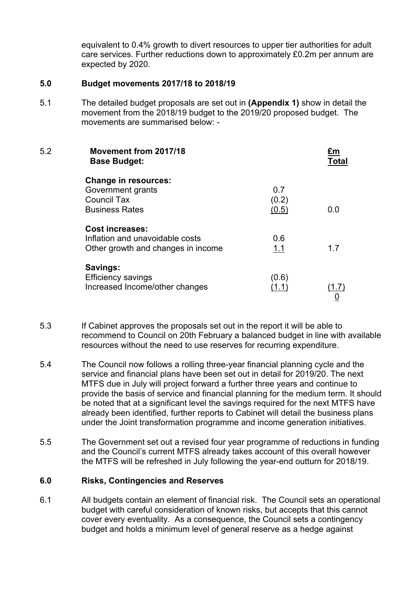equivalent to 0.4% growth to divert resources to upper tier authorities for adult care services. Further reductions down to approximately £0.2m per annum are expected by 2020.

### **5.0 Budget movements 2017/18 to 2018/19**

5.1 The detailed budget proposals are set out in **(Appendix 1)** show in detail the movement from the 2018/19 budget to the 2019/20 proposed budget. The movements are summarised below: -

| 5.2 | Movement from 2017/18<br><b>Base Budget:</b>     |       | Total |
|-----|--------------------------------------------------|-------|-------|
|     | <b>Change in resources:</b><br>Government grants | 0.7   |       |
|     | <b>Council Tax</b>                               | (0.2) |       |
|     | <b>Business Rates</b>                            | (0.5) | 0.0   |
|     | <b>Cost increases:</b>                           |       |       |
|     | Inflation and unavoidable costs                  | 0.6   |       |
|     | Other growth and changes in income               | 1.1   | 1.7   |
|     | Savings:                                         |       |       |
|     | <b>Efficiency savings</b>                        | (0.6) |       |
|     | Increased Income/other changes                   | (1.1) | 1.7)  |
|     |                                                  |       |       |

- 5.3 If Cabinet approves the proposals set out in the report it will be able to recommend to Council on 20th February a balanced budget in line with available resources without the need to use reserves for recurring expenditure.
- 5.4 The Council now follows a rolling three-year financial planning cycle and the service and financial plans have been set out in detail for 2019/20. The next MTFS due in July will project forward a further three years and continue to provide the basis of service and financial planning for the medium term. It should be noted that at a significant level the savings required for the next MTFS have already been identified, further reports to Cabinet will detail the business plans under the Joint transformation programme and income generation initiatives.
- 5.5 The Government set out a revised four year programme of reductions in funding and the Council's current MTFS already takes account of this overall however the MTFS will be refreshed in July following the year-end outturn for 2018/19.

## **6.0 Risks, Contingencies and Reserves**

6.1 All budgets contain an element of financial risk. The Council sets an operational budget with careful consideration of known risks, but accepts that this cannot cover every eventuality. As a consequence, the Council sets a contingency budget and holds a minimum level of general reserve as a hedge against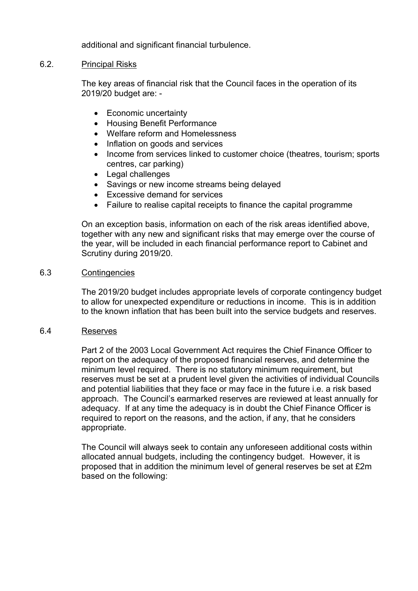additional and significant financial turbulence.

### 6.2. Principal Risks

The key areas of financial risk that the Council faces in the operation of its 2019/20 budget are: -

- Economic uncertainty
- Housing Benefit Performance
- Welfare reform and Homelessness
- Inflation on goods and services
- Income from services linked to customer choice (theatres, tourism; sports centres, car parking)
- Legal challenges
- Savings or new income streams being delayed
- Excessive demand for services
- Failure to realise capital receipts to finance the capital programme

On an exception basis, information on each of the risk areas identified above, together with any new and significant risks that may emerge over the course of the year, will be included in each financial performance report to Cabinet and Scrutiny during 2019/20.

### 6.3 Contingencies

The 2019/20 budget includes appropriate levels of corporate contingency budget to allow for unexpected expenditure or reductions in income. This is in addition to the known inflation that has been built into the service budgets and reserves.

## 6.4 Reserves

Part 2 of the 2003 Local Government Act requires the Chief Finance Officer to report on the adequacy of the proposed financial reserves, and determine the minimum level required. There is no statutory minimum requirement, but reserves must be set at a prudent level given the activities of individual Councils and potential liabilities that they face or may face in the future i.e. a risk based approach. The Council's earmarked reserves are reviewed at least annually for adequacy. If at any time the adequacy is in doubt the Chief Finance Officer is required to report on the reasons, and the action, if any, that he considers appropriate.

The Council will always seek to contain any unforeseen additional costs within allocated annual budgets, including the contingency budget. However, it is proposed that in addition the minimum level of general reserves be set at £2m based on the following: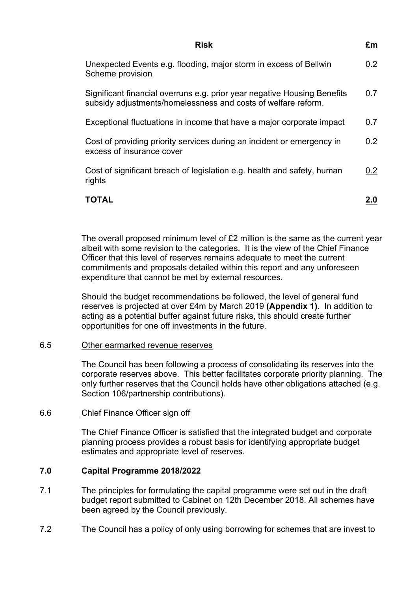| Risk                                                                                                                                      | £m               |
|-------------------------------------------------------------------------------------------------------------------------------------------|------------------|
| Unexpected Events e.g. flooding, major storm in excess of Bellwin<br>Scheme provision                                                     | 0.2 <sub>0</sub> |
| Significant financial overruns e.g. prior year negative Housing Benefits<br>subsidy adjustments/homelessness and costs of welfare reform. | 0.7              |
| Exceptional fluctuations in income that have a major corporate impact                                                                     | 0.7              |
| Cost of providing priority services during an incident or emergency in<br>excess of insurance cover                                       | 0.2              |
| Cost of significant breach of legislation e.g. health and safety, human<br>rights                                                         | 0.2              |
| ΤΩΤΑΙ                                                                                                                                     |                  |

The overall proposed minimum level of £2 million is the same as the current year albeit with some revision to the categories. It is the view of the Chief Finance Officer that this level of reserves remains adequate to meet the current commitments and proposals detailed within this report and any unforeseen expenditure that cannot be met by external resources.

Should the budget recommendations be followed, the level of general fund reserves is projected at over £4m by March 2019 **(Appendix 1)**. In addition to acting as a potential buffer against future risks, this should create further opportunities for one off investments in the future.

### 6.5 Other earmarked revenue reserves

The Council has been following a process of consolidating its reserves into the corporate reserves above. This better facilitates corporate priority planning. The only further reserves that the Council holds have other obligations attached (e.g. Section 106/partnership contributions).

#### 6.6 Chief Finance Officer sign off

The Chief Finance Officer is satisfied that the integrated budget and corporate planning process provides a robust basis for identifying appropriate budget estimates and appropriate level of reserves.

### **7.0 Capital Programme 2018/2022**

- 7.1 The principles for formulating the capital programme were set out in the draft budget report submitted to Cabinet on 12th December 2018. All schemes have been agreed by the Council previously.
- 7.2 The Council has a policy of only using borrowing for schemes that are invest to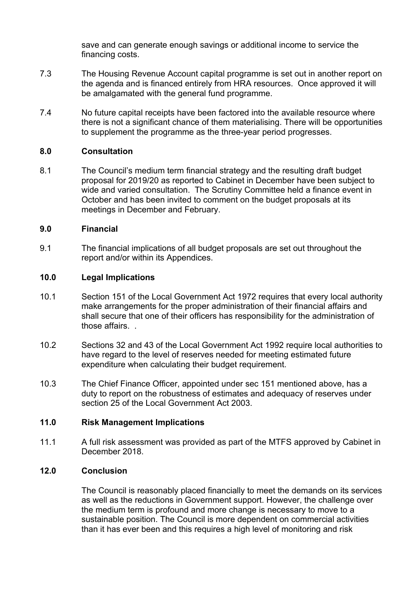save and can generate enough savings or additional income to service the financing costs.

- 7.3 The Housing Revenue Account capital programme is set out in another report on the agenda and is financed entirely from HRA resources. Once approved it will be amalgamated with the general fund programme.
- 7.4 No future capital receipts have been factored into the available resource where there is not a significant chance of them materialising. There will be opportunities to supplement the programme as the three-year period progresses.

## **8.0 Consultation**

8.1 The Council's medium term financial strategy and the resulting draft budget proposal for 2019/20 as reported to Cabinet in December have been subject to wide and varied consultation. The Scrutiny Committee held a finance event in October and has been invited to comment on the budget proposals at its meetings in December and February.

## **9.0 Financial**

9.1 The financial implications of all budget proposals are set out throughout the report and/or within its Appendices.

# **10.0 Legal Implications**

- 10.1 Section 151 of the Local Government Act 1972 requires that every local authority make arrangements for the proper administration of their financial affairs and shall secure that one of their officers has responsibility for the administration of those affairs. .
- 10.2 Sections 32 and 43 of the Local Government Act 1992 require local authorities to have regard to the level of reserves needed for meeting estimated future expenditure when calculating their budget requirement.
- 10.3 The Chief Finance Officer, appointed under sec 151 mentioned above, has a duty to report on the robustness of estimates and adequacy of reserves under section 25 of the Local Government Act 2003.

## **11.0 Risk Management Implications**

11.1 A full risk assessment was provided as part of the MTFS approved by Cabinet in December 2018.

## **12.0 Conclusion**

The Council is reasonably placed financially to meet the demands on its services as well as the reductions in Government support. However, the challenge over the medium term is profound and more change is necessary to move to a sustainable position. The Council is more dependent on commercial activities than it has ever been and this requires a high level of monitoring and risk